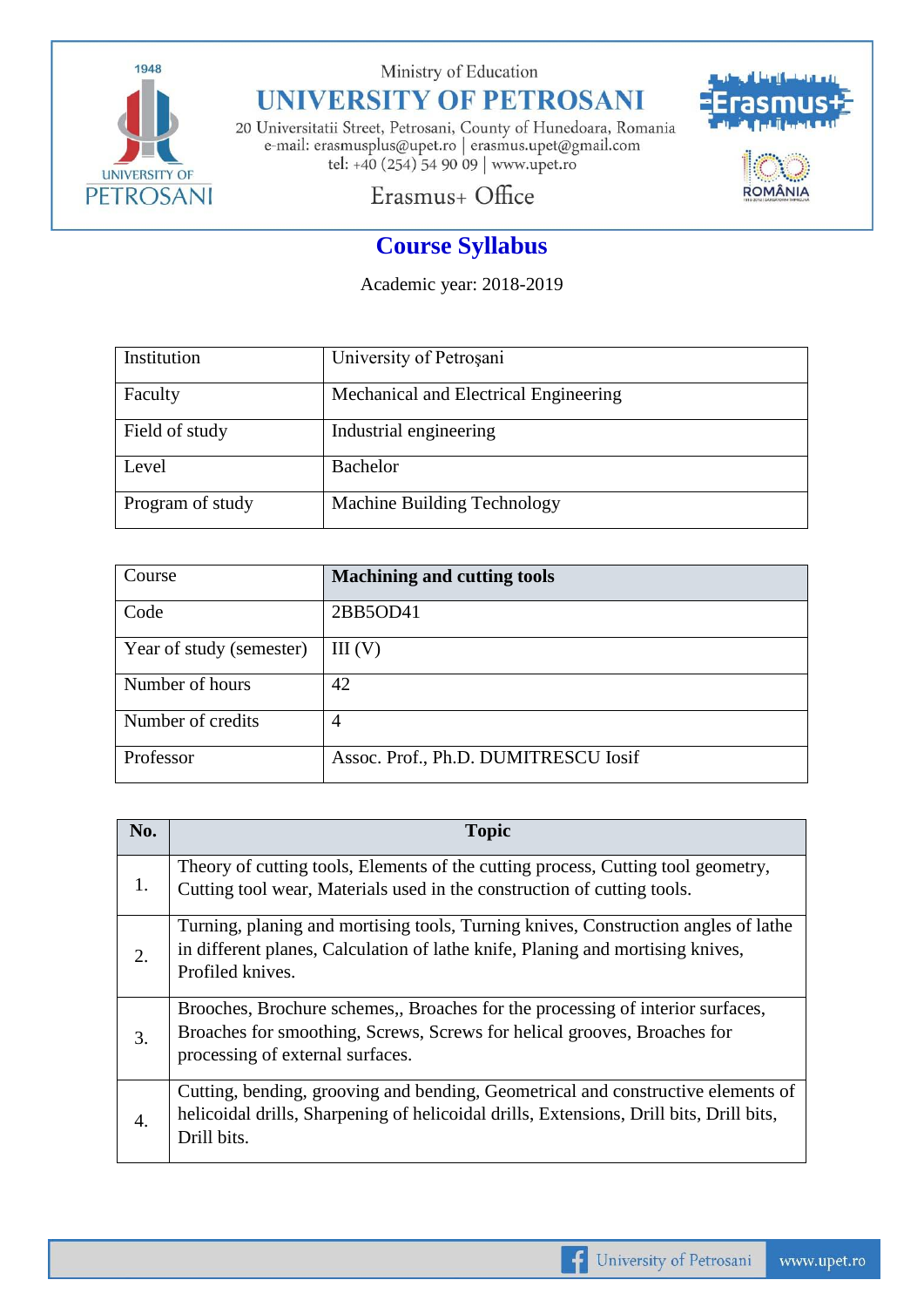

Ministry of Education

## **UNIVERSITY OF PETROSANI**

20 Universitatii Street, Petrosani, County of Hunedoara, Romania e-mail: erasmusplus@upet.ro $\vert$ erasmus.upet@gmail.com tel: +40 (254) 54 90 09 | www.upet.ro



## Erasmus+ Office

## **Course Syllabus**

Academic year: 2018-2019

| Institution      | University of Petrosani               |
|------------------|---------------------------------------|
| Faculty          | Mechanical and Electrical Engineering |
| Field of study   | Industrial engineering                |
| Level            | <b>Bachelor</b>                       |
| Program of study | Machine Building Technology           |

| Course                   | <b>Machining and cutting tools</b>   |
|--------------------------|--------------------------------------|
| Code                     | 2BB5OD41                             |
| Year of study (semester) | III(V)                               |
| Number of hours          | 42                                   |
| Number of credits        | $\overline{4}$                       |
| Professor                | Assoc. Prof., Ph.D. DUMITRESCU Iosif |

| No. | <b>Topic</b>                                                                                                                                                                                  |
|-----|-----------------------------------------------------------------------------------------------------------------------------------------------------------------------------------------------|
| 1.  | Theory of cutting tools, Elements of the cutting process, Cutting tool geometry,<br>Cutting tool wear, Materials used in the construction of cutting tools.                                   |
| 2.  | Turning, planing and mortising tools, Turning knives, Construction angles of lathe<br>in different planes, Calculation of lathe knife, Planing and mortising knives,<br>Profiled knives.      |
| 3.  | Brooches, Brochure schemes, Broaches for the processing of interior surfaces,<br>Broaches for smoothing, Screws, Screws for helical grooves, Broaches for<br>processing of external surfaces. |
| 4.  | Cutting, bending, grooving and bending, Geometrical and constructive elements of<br>helicoidal drills, Sharpening of helicoidal drills, Extensions, Drill bits, Drill bits,<br>Drill bits.    |